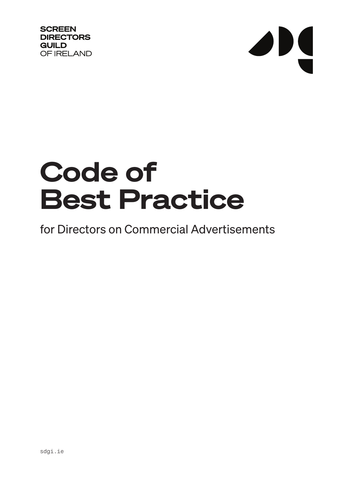**SCREEN DIRECTORS GUILD** OF IRELAND

## $\overline{\phantom{a}}$

## Code of Best Practice

## for Directors on Commercial Advertisements